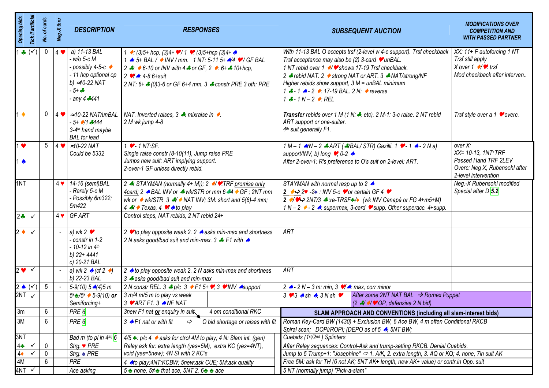| <b>Opening bids</b> | Tick if artificial       | No. of cards    | Neg.-X thru | <b>DESCRIPTION</b>                                                                                                                         | <b>RESPONSES</b>                                                                                                                                                                                                                                                                              | <b>SUBSEQUENT AUCTION</b>                                                                                                                                                                                                                                                                                                                                                                       | <b>MODIFICATIONS OVER</b><br><b>COMPETITION AND</b><br><b>WITH PASSED PARTNER</b>                                         |  |  |
|---------------------|--------------------------|-----------------|-------------|--------------------------------------------------------------------------------------------------------------------------------------------|-----------------------------------------------------------------------------------------------------------------------------------------------------------------------------------------------------------------------------------------------------------------------------------------------|-------------------------------------------------------------------------------------------------------------------------------------------------------------------------------------------------------------------------------------------------------------------------------------------------------------------------------------------------------------------------------------------------|---------------------------------------------------------------------------------------------------------------------------|--|--|
|                     | $1 \bullet (\checkmark)$ | 0               | $4 \bullet$ | a) 11-13 BAL<br>- w/o 5-c M<br>- possibly 4-5-c ◆<br>- 11 hcp optional op<br>b) $\approx$ 10-22 NAT<br>$-5 + -5$<br>any 4 <sub>*</sub> 441 | 1 • (3)5+ hcp, (3)4+ • / 1 • (3)5+hcp (3)4+ ▲<br>1 A: 5+ BAL / ● INV / mm. 1 NT: 5-11 5+ A/4 ♥ / GF BAL<br>2 $\div$ 6-10 or INV with 4 $\div$ or GF, 2 $\div$ 6+ $\div$ 10+hcp,<br>2 $\sqrt{4}$ : 4-8 6+suit<br>2 NT: 6+ $\clubsuit$ (0)3-6 or GF 6+4 mm. 3 $\clubsuit$ constr PRE 3 oth: PRE | With 11-13 BAL O accepts trsf (2-level w 4-c support). Trsf checkback  <br>Trsf acceptance may also be (2) 3-card $\bullet$ unBAL.<br>1 NT rebid over 1 →/ v shows 17-19 Trsf checkback.<br>2 - rebid NAT. 2 • strong NAT or ART. 3 • NAT/strong/NF<br>Higher rebids show support, $3 M =$ unBAL minimum<br>1 $\div$ - 1 $\div$ - 2 $\div$ 17-19 BAL. 2 N: $\div$ reverse<br>$1 - 1N - 2$ : REL | XX: 11+ F autoforcing 1 NT<br>Trsf still apply<br>X over $1 \rightarrow \rightarrow$ trsf<br>Mod checkback after interven |  |  |
| $1 \bullet$         |                          | 0               |             | $ 4 \cdot   \approx 10{\text -}22 \text{ NAT/unBAL}$<br>$-5 + 144$<br>3-4th hand maybe<br><b>BAL</b> for lead                              | NAT. Inverted raises, $3 \div \text{mixraise in } \rightarrow$ .<br>2 M wk jump 4-8                                                                                                                                                                                                           | Transfer rebids over 1 M (1 N: , etc). 2 M-1: 3-c raise. 2 NT rebid<br>ART support or one-suiter.<br>4th suit generally F1.                                                                                                                                                                                                                                                                     | Trsf style over a 1 $\bullet$ overc.                                                                                      |  |  |
| $1 \bullet$<br>1 ♠  |                          | 5               |             | $ 4 \cdot \times 10^{-22}$ NAT<br>Could be 5332                                                                                            | $1 \cdot - 1$ NT:SF.<br>Single raise constr (8-10(11), Jump raise PRE<br>Jumps new suit: ART implying support.<br>2-over-1 GF unless directly rebid.                                                                                                                                          | $1 M - 1 M/N - 2$ $\neq$ ART ( $\neq$ /BAL/STR) Gazilli. 1 $\triangleright$ - 1 $\rightsquigarrow$ - 2 N a)<br>support/INV, b) long $\bullet$ , 0-2 $\bullet$<br>After 2-over-1: R's preference to O's suit on 2-level: ART.                                                                                                                                                                    | over X:<br>XX= 10-13, 1NT+TRF<br>Passed Hand TRF 2LEV<br>Overc: Neg X, Rubensohl after<br>2-level intervention            |  |  |
| 1NT                 |                          |                 |             | 4 v 14-16 (semi) BAL<br>- Rarely 5-c M<br>- Possibly 6m322;<br>5m422                                                                       | 2 . STAYMAN (normally 4+ M)); 2 . ⁄ . TRF promise only<br>4card; 2 A BAL INV or $\clubsuit$ wk/STR or mm 6.44 GF; 2NT mm<br>wk or $\bullet$ wk/STR 3 $\clubsuit$ / $\bullet$ NAT INV; 3M: short and 5(6)-4 mm;<br>$4 \cdot 7 \cdot$ Texas, 4 $\sqrt{4}$ to play                               | STAYMAN with normal resp up to 2 ▲<br>2 $\leftrightarrow$ 2 -2 : INV 5-c $\bullet$ or certain GF 4 $\bullet$<br>2 →/♥ → 2NT/3 → :re-TRSF→/◆ (wk INV Canapé or FG 4+m5+M)<br>$1 N - 2$ $\leftrightarrow$ - 2 $\leftrightarrow$ : supermax, 3-card $\bullet$ supp. Other superacc. 4+supp.                                                                                                        | Neg.-X Rubensohl modified<br>Special after D 5.2                                                                          |  |  |
| $2 -$               | $\checkmark$             |                 |             | $4 \vee$ GF ART                                                                                                                            | Control steps, NAT rebids, 2 NT rebid 24+                                                                                                                                                                                                                                                     |                                                                                                                                                                                                                                                                                                                                                                                                 |                                                                                                                           |  |  |
| $2 \bullet$         | $\checkmark$             |                 |             | a) wk 2 $\bullet$<br>- constr in 1-2<br>$-10-12$ in 4 <sup>th</sup><br>b) 22+ 4441<br>c) 20-21 BAL                                         | 2 v to play opposite weak 2. 2 ∧ asks min-max and shortness<br>2 N asks good/bad suit and min-max. 3 ♣: F1 with ▲                                                                                                                                                                             | <b>ART</b>                                                                                                                                                                                                                                                                                                                                                                                      |                                                                                                                           |  |  |
| $2 \bullet$         | $\checkmark$             |                 |             | a) wk 2 $\land$ (cf 2 $\rightarrow$ )<br>b) 22-23 BAL                                                                                      | 2 to play opposite weak 2. 2 N asks min-max and shortness<br>3 * asks good/bad suit and min-max                                                                                                                                                                                               | ART                                                                                                                                                                                                                                                                                                                                                                                             |                                                                                                                           |  |  |
| $2 \cdot (\sqrt{)}$ |                          | $5\phantom{.0}$ |             | $5-9(10)$ $5\sqrt{(4)}5$ m                                                                                                                 | 2 N constr REL. $3 \neq p/c$ 3 $\rightarrow$ F1 5+ $\rightarrow$ , 3 $\rightarrow$ INV $\rightarrow$ support                                                                                                                                                                                  | 2 $\rightarrow$ - 2 N – 3 m: min, 3 $\vee$ $\rightarrow$ max, corr minor                                                                                                                                                                                                                                                                                                                        |                                                                                                                           |  |  |
| 2NT                 |                          |                 |             | $5 + 2/5 + 5 - 9(10)$ or<br>Semiforcing+                                                                                                   | 3 m/4 m/5 m to play vs weak<br>$3 \cdot \text{ART F1. 3} \cdot \text{NF NAT}$                                                                                                                                                                                                                 | After some 2NT NAT BAL $\rightarrow$ Romex Puppet<br>$3 \vee 3$ $\triangle$ sh $\triangle$ , $3 N \sin \vee$<br>$(2 \cdot 1) \cdot \sqrt{9}$ OP, defensive 2 N bid)                                                                                                                                                                                                                             |                                                                                                                           |  |  |
| 3m                  |                          | 6               |             | PRE <sup>6</sup>                                                                                                                           | 4 om conditional RKC<br>3new F1 nat or enquiry in suit                                                                                                                                                                                                                                        | SLAM APPROACH AND CONVENTIONS (including all slam-interest bids)                                                                                                                                                                                                                                                                                                                                |                                                                                                                           |  |  |
| 3M                  |                          | 6               |             | PRE <sup>6</sup>                                                                                                                           | 3 A F1 nat or with fit<br>O bid shortage or raises with fit<br>$\Rightarrow$                                                                                                                                                                                                                  | Roman Key-Card BW (1430) + Exclusion BW, 6 Ace BW, 4 m often Conditional RKCB<br>Spiral scan; DOPI/ROPI; (DEPO as of 5 A) 5NT BW;                                                                                                                                                                                                                                                               |                                                                                                                           |  |  |
| 3NT                 |                          |                 |             | Bad m (to pl in $4th$ ) $6$                                                                                                                | $4/5$ $\triangle$ : p/c 4 $\triangle$ asks for ctrol 4M to play; 4 N: Slam int. (gen)                                                                                                                                                                                                         | Cuebids (1st/2nd) Splinters                                                                                                                                                                                                                                                                                                                                                                     |                                                                                                                           |  |  |
| $4\clubsuit$        |                          | 0               |             | Strg. $\blacktriangleright$ PRE                                                                                                            | Relay ask for: extra length (yes=5M), extra KC (yes=4NT),                                                                                                                                                                                                                                     | After Relay sequences: Control-Ask and trump-setting RKCB. Denial Cuebids.                                                                                                                                                                                                                                                                                                                      |                                                                                                                           |  |  |
| $4\bullet$          | $\checkmark$             | 0               |             | $Strg.$ ★ $PRE$                                                                                                                            | void (yes=5new); 4N SI with 2 KC's                                                                                                                                                                                                                                                            | Jump to 5 Trump+1: "Josephine" $\Rightarrow$ 1. A/K, 2. extra length, 3. AQ or KQ; 4. none, 7in suit AK                                                                                                                                                                                                                                                                                         |                                                                                                                           |  |  |
| 4M<br>4NT           |                          | 6               |             | PRE<br>Ace asking                                                                                                                          | 4 A to play; 4NT: KCBW; 5new: ask CUE; 5M: ask quality<br>$5 \triangle$ none, $5 \nless 2$ that ace, $5NT$ 2, $6 \triangle 3$ ace                                                                                                                                                             | Free 5M: ask for TH (6 not AK; 5NT AK+ length, new AK+ value) or contr.in Opp. suit<br>5 NT (normally jump) "Pick-a-slam"                                                                                                                                                                                                                                                                       |                                                                                                                           |  |  |
|                     |                          |                 |             |                                                                                                                                            |                                                                                                                                                                                                                                                                                               |                                                                                                                                                                                                                                                                                                                                                                                                 |                                                                                                                           |  |  |